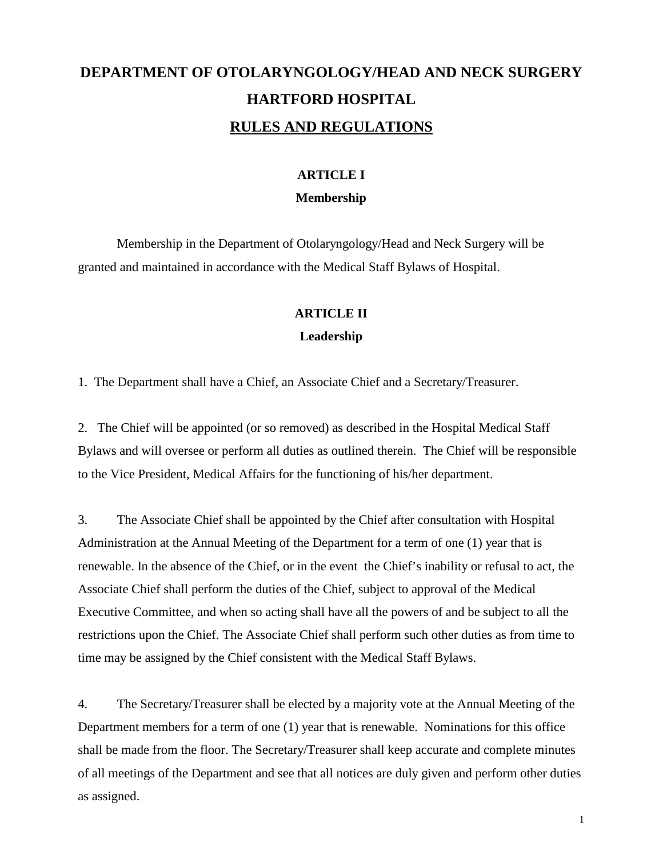# **DEPARTMENT OF OTOLARYNGOLOGY/HEAD AND NECK SURGERY HARTFORD HOSPITAL RULES AND REGULATIONS**

# **ARTICLE I Membership**

Membership in the Department of Otolaryngology/Head and Neck Surgery will be granted and maintained in accordance with the Medical Staff Bylaws of Hospital.

#### **ARTICLE II**

#### **Leadership**

1. The Department shall have a Chief, an Associate Chief and a Secretary/Treasurer.

2. The Chief will be appointed (or so removed) as described in the Hospital Medical Staff Bylaws and will oversee or perform all duties as outlined therein. The Chief will be responsible to the Vice President, Medical Affairs for the functioning of his/her department.

3. The Associate Chief shall be appointed by the Chief after consultation with Hospital Administration at the Annual Meeting of the Department for a term of one (1) year that is renewable. In the absence of the Chief, or in the event the Chief's inability or refusal to act, the Associate Chief shall perform the duties of the Chief, subject to approval of the Medical Executive Committee, and when so acting shall have all the powers of and be subject to all the restrictions upon the Chief. The Associate Chief shall perform such other duties as from time to time may be assigned by the Chief consistent with the Medical Staff Bylaws.

4. The Secretary/Treasurer shall be elected by a majority vote at the Annual Meeting of the Department members for a term of one (1) year that is renewable. Nominations for this office shall be made from the floor. The Secretary/Treasurer shall keep accurate and complete minutes of all meetings of the Department and see that all notices are duly given and perform other duties as assigned.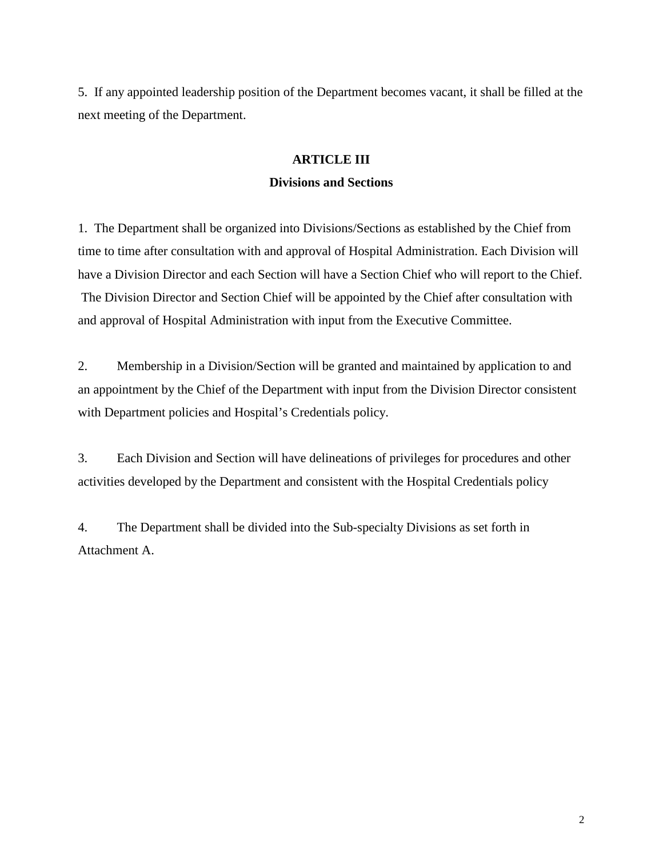5. If any appointed leadership position of the Department becomes vacant, it shall be filled at the next meeting of the Department.

# **ARTICLE III Divisions and Sections**

1. The Department shall be organized into Divisions/Sections as established by the Chief from time to time after consultation with and approval of Hospital Administration. Each Division will have a Division Director and each Section will have a Section Chief who will report to the Chief. The Division Director and Section Chief will be appointed by the Chief after consultation with and approval of Hospital Administration with input from the Executive Committee.

2. Membership in a Division/Section will be granted and maintained by application to and an appointment by the Chief of the Department with input from the Division Director consistent with Department policies and Hospital's Credentials policy.

3. Each Division and Section will have delineations of privileges for procedures and other activities developed by the Department and consistent with the Hospital Credentials policy

4. The Department shall be divided into the Sub-specialty Divisions as set forth in Attachment A.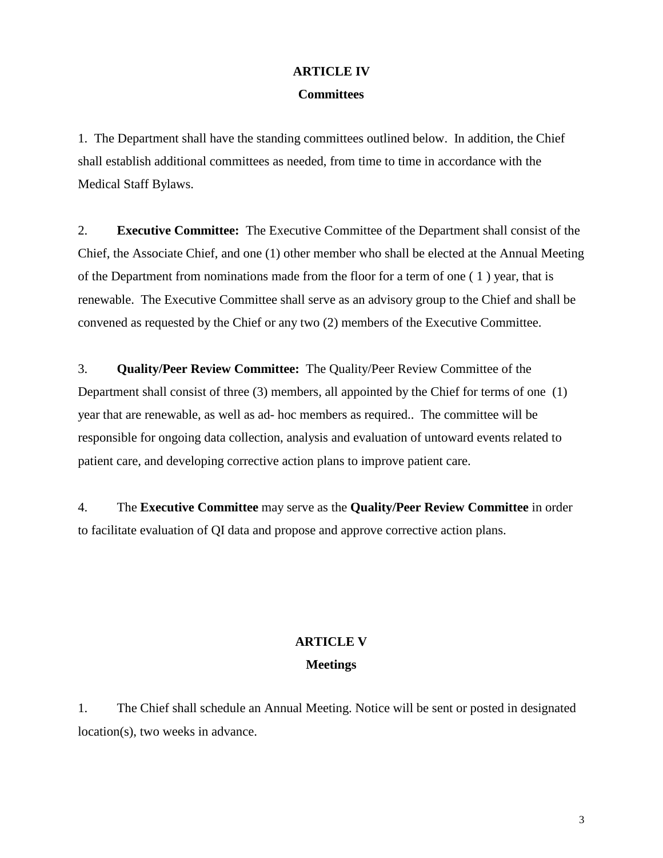# **ARTICLE IV Committees**

1. The Department shall have the standing committees outlined below. In addition, the Chief shall establish additional committees as needed, from time to time in accordance with the Medical Staff Bylaws.

2. **Executive Committee:** The Executive Committee of the Department shall consist of the Chief, the Associate Chief, and one (1) other member who shall be elected at the Annual Meeting of the Department from nominations made from the floor for a term of one ( 1 ) year, that is renewable. The Executive Committee shall serve as an advisory group to the Chief and shall be convened as requested by the Chief or any two (2) members of the Executive Committee.

3. **Quality/Peer Review Committee:** The Quality/Peer Review Committee of the Department shall consist of three (3) members, all appointed by the Chief for terms of one (1) year that are renewable, as well as ad- hoc members as required.. The committee will be responsible for ongoing data collection, analysis and evaluation of untoward events related to patient care, and developing corrective action plans to improve patient care.

4. The **Executive Committee** may serve as the **Quality/Peer Review Committee** in order to facilitate evaluation of QI data and propose and approve corrective action plans.

# **ARTICLE V Meetings**

1. The Chief shall schedule an Annual Meeting. Notice will be sent or posted in designated location(s), two weeks in advance.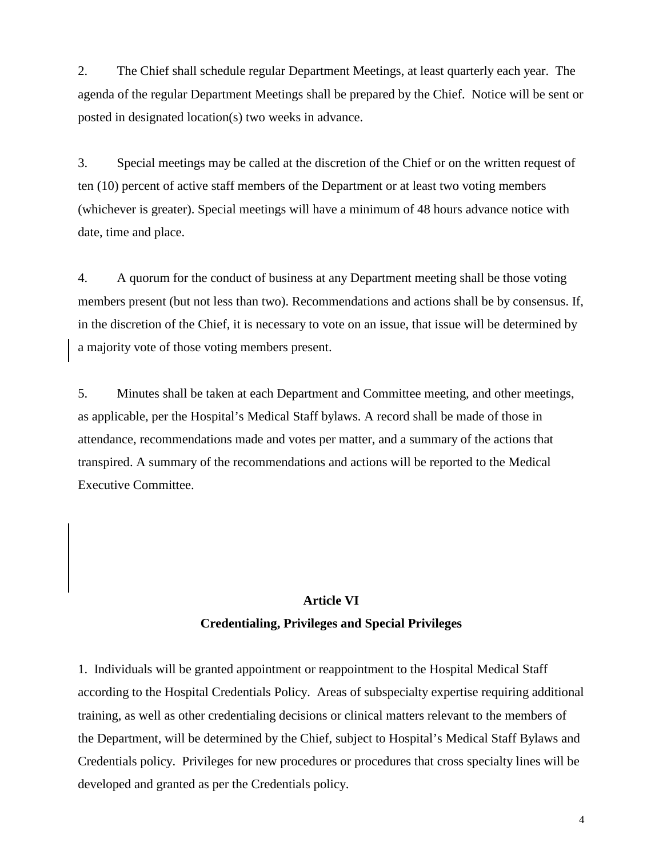2. The Chief shall schedule regular Department Meetings, at least quarterly each year. The agenda of the regular Department Meetings shall be prepared by the Chief. Notice will be sent or posted in designated location(s) two weeks in advance.

3. Special meetings may be called at the discretion of the Chief or on the written request of ten (10) percent of active staff members of the Department or at least two voting members (whichever is greater). Special meetings will have a minimum of 48 hours advance notice with date, time and place.

4. A quorum for the conduct of business at any Department meeting shall be those voting members present (but not less than two). Recommendations and actions shall be by consensus. If, in the discretion of the Chief, it is necessary to vote on an issue, that issue will be determined by a majority vote of those voting members present.

5. Minutes shall be taken at each Department and Committee meeting, and other meetings, as applicable, per the Hospital's Medical Staff bylaws. A record shall be made of those in attendance, recommendations made and votes per matter, and a summary of the actions that transpired. A summary of the recommendations and actions will be reported to the Medical Executive Committee.

#### **Article VI**

#### **Credentialing, Privileges and Special Privileges**

1. Individuals will be granted appointment or reappointment to the Hospital Medical Staff according to the Hospital Credentials Policy. Areas of subspecialty expertise requiring additional training, as well as other credentialing decisions or clinical matters relevant to the members of the Department, will be determined by the Chief, subject to Hospital's Medical Staff Bylaws and Credentials policy. Privileges for new procedures or procedures that cross specialty lines will be developed and granted as per the Credentials policy.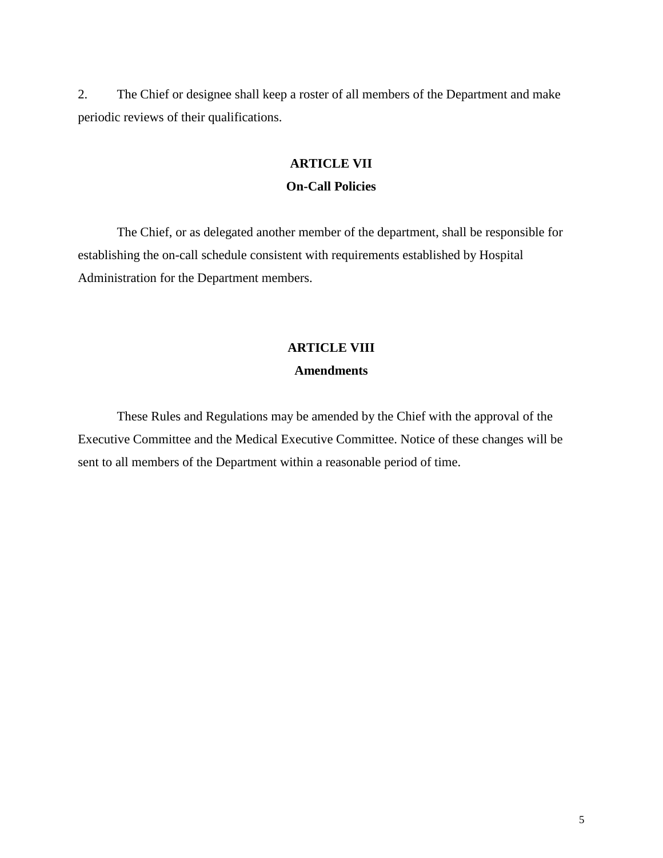2. The Chief or designee shall keep a roster of all members of the Department and make periodic reviews of their qualifications.

#### **ARTICLE VII**

#### **On-Call Policies**

The Chief, or as delegated another member of the department, shall be responsible for establishing the on-call schedule consistent with requirements established by Hospital Administration for the Department members.

## **ARTICLE VIII**

#### **Amendments**

These Rules and Regulations may be amended by the Chief with the approval of the Executive Committee and the Medical Executive Committee. Notice of these changes will be sent to all members of the Department within a reasonable period of time.